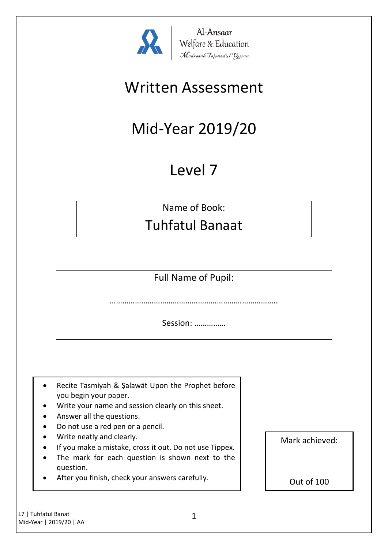

Al-Ansaar Al-Ansaar<br>Welfare & Education<br>Madrasah Tajweedul Quran

## Written Assessment

# Mid-Year 2019/20

## Level 7

Name of Book:

## Tuhfatul Banaat

Full Name of Pupil:

……………………………………………………………………..

Session: ……………

- Recite Tasmiyah & Şalawāt Upon the Prophet before you begin your paper.
- Write your name and session clearly on this sheet.
- Answer all the questions.
- Do not use a red pen or a pencil.
- Write neatly and clearly.
- If you make a mistake, cross it out. Do not use Tippex.
- The mark for each question is shown next to the question.
- After you finish, check your answers carefully.

Mark achieved:

Out of 100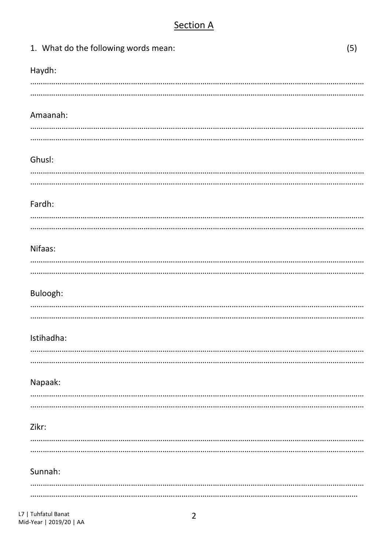## **Section A**

|       | 1. What do the following words mean: | (5) |
|-------|--------------------------------------|-----|
|       | Haydh:                               |     |
|       |                                      |     |
|       | Amaanah:                             |     |
|       |                                      |     |
|       |                                      |     |
|       | Ghusl:                               |     |
|       |                                      |     |
|       | Fardh:                               |     |
|       |                                      |     |
|       | Nifaas:                              |     |
|       |                                      |     |
|       |                                      |     |
|       | Buloogh:                             |     |
|       |                                      |     |
|       | Istihadha:                           |     |
|       |                                      |     |
|       |                                      |     |
|       | Napaak:                              |     |
|       |                                      |     |
| Zikr: |                                      |     |
|       |                                      |     |
|       | Sunnah:                              |     |
|       |                                      |     |
|       |                                      |     |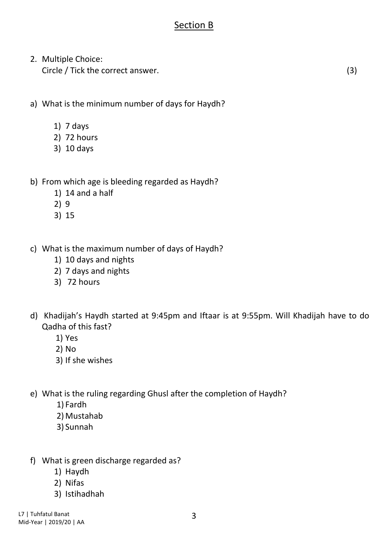### Section B

2. Multiple Choice: Circle / Tick the correct answer. (3)

a) What is the minimum number of days for Haydh?

- 1) 7 days
- 2) 72 hours
- 3) 10 days
- b) From which age is bleeding regarded as Haydh?
	- 1) 14 and a half
	- 2) 9
	- 3) 15
- c) What is the maximum number of days of Haydh?
	- 1) 10 days and nights
	- 2) 7 days and nights
	- 3) 72 hours
- d) Khadijah's Haydh started at 9:45pm and Iftaar is at 9:55pm. Will Khadijah have to do Qadha of this fast?
	- 1) Yes
	- 2) No
	- 3) If she wishes
- e) What is the ruling regarding Ghusl after the completion of Haydh?
	- 1) Fardh
	- 2) Mustahab
	- 3) Sunnah
- f) What is green discharge regarded as?
	- 1) Haydh
	- 2) Nifas
	- 3) Istihadhah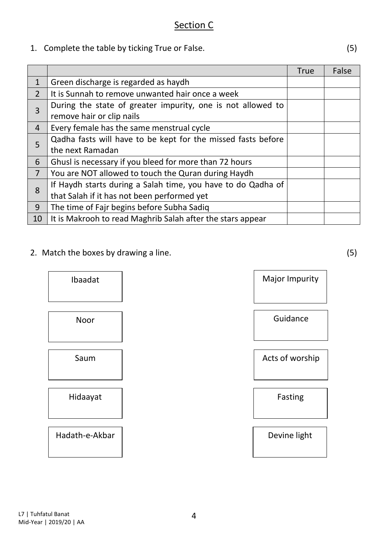1. Complete the table by ticking True or False. (5)

|                |                                                              | <b>True</b> | False |
|----------------|--------------------------------------------------------------|-------------|-------|
| $\mathbf{1}$   | Green discharge is regarded as haydh                         |             |       |
| $\overline{2}$ | It is Sunnah to remove unwanted hair once a week             |             |       |
| 3              | During the state of greater impurity, one is not allowed to  |             |       |
|                | remove hair or clip nails                                    |             |       |
| $\overline{4}$ | Every female has the same menstrual cycle                    |             |       |
| 5              | Qadha fasts will have to be kept for the missed fasts before |             |       |
|                | the next Ramadan                                             |             |       |
| 6              | Ghusl is necessary if you bleed for more than 72 hours       |             |       |
| $\overline{7}$ | You are NOT allowed to touch the Quran during Haydh          |             |       |
| 8              | If Haydh starts during a Salah time, you have to do Qadha of |             |       |
|                | that Salah if it has not been performed yet                  |             |       |
| 9              | The time of Fajr begins before Subha Sadiq                   |             |       |
| 10             | It is Makrooh to read Maghrib Salah after the stars appear   |             |       |

2. Match the boxes by drawing a line. (5)

Ibaadat | Major Impurity Noor Saum Hidaayat Hadath-e-Akbar

Guidance

Acts of worship

Fasting

Devine light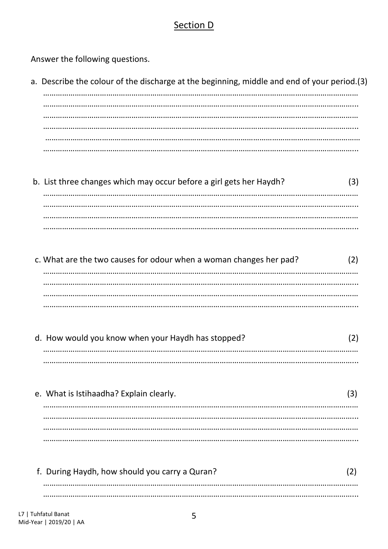#### Section D

Answer the following questions.

- a. Describe the colour of the discharge at the beginning, middle and end of your period.(3)
- b. List three changes which may occur before a girl gets her Haydh?  $(3)$
- c. What are the two causes for odour when a woman changes her pad?  $(2)$
- d. How would you know when your Haydh has stopped?  $(2)$

e. What is Istihaadha? Explain clearly.  $(3)$ 

| f. During Haydh, how should you carry a Quran? |  |
|------------------------------------------------|--|
|                                                |  |
|                                                |  |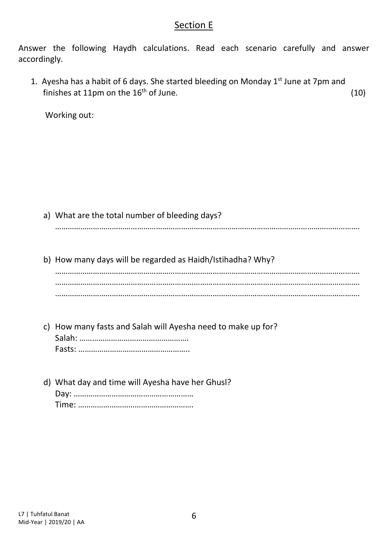#### Section E

Answer the following Haydh calculations. Read each scenario carefully and answer accordingly.

1. Ayesha has a habit of 6 days. She started bleeding on Monday  $1<sup>st</sup>$  June at 7pm and finishes at 11pm on the  $16<sup>th</sup>$  of June. (10)

Working out:

a) What are the total number of bleeding days? ……………………………………………………………………………………………………………………………….

b) How many days will be regarded as Haidh/Istihadha? Why?

………………………………………………………………………………………………………………………………. ………………………………………………………………………………………………………………………………. ……………………………………………………………………………………………………………………………….

- c) How many fasts and Salah will Ayesha need to make up for? Salah: ……………………………………………. Fasts: ……………………………………………..
- d) What day and time will Ayesha have her Ghusl? Day: ………………………………………………… Time: ……………………………………………….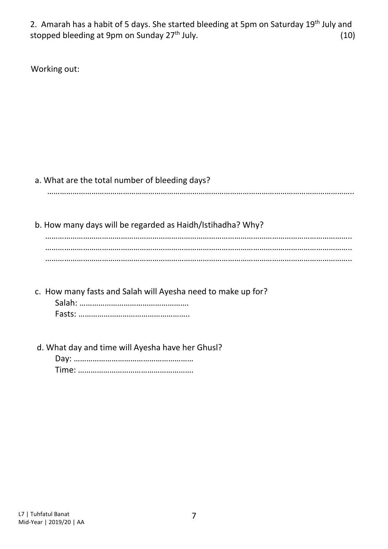2. Amarah has a habit of 5 days. She started bleeding at 5pm on Saturday 19<sup>th</sup> July and stopped bleeding at 9pm on Sunday 27<sup>th</sup> July. (10)

Working out:

#### a. What are the total number of bleeding days?

………………………………………………………………………………………………………………………………..

b. How many days will be regarded as Haidh/Istihadha? Why?

 ……………………………………………………………………………………………………………………………….. ……………………………………………………………………………………………………………………………….. ………………………………………………………………………………………………………………………………..

c. How many fasts and Salah will Ayesha need to make up for?

Salah: ……………………………………………. Fasts: ……………………………………………..

d. What day and time will Ayesha have her Ghusl?

Day: ………………………………………………… Time: ……………………………………………….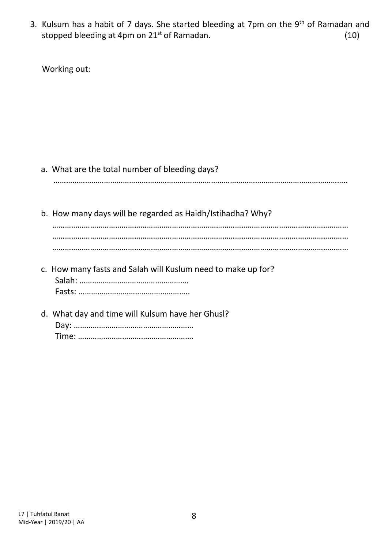3. Kulsum has a habit of 7 days. She started bleeding at 7pm on the  $9<sup>th</sup>$  of Ramadan and stopped bleeding at 4pm on  $21^{st}$  of Ramadan.  $(10)$ 

Working out:

#### a. What are the total number of bleeding days?

…………………………………………………………………………………………………………………………..

- b. How many days will be regarded as Haidh/Istihadha? Why? …………………………………………………………………………………………………………………………… …………………………………………………………………………………………………………………………… ……………………………………………………………………………………………………………………………
- c. How many fasts and Salah will Kuslum need to make up for? Salah: ……………………………………………. Fasts: ……………………………………………..
- d. What day and time will Kulsum have her Ghusl? Day: ………………………………………………… Time: ……………………………………………….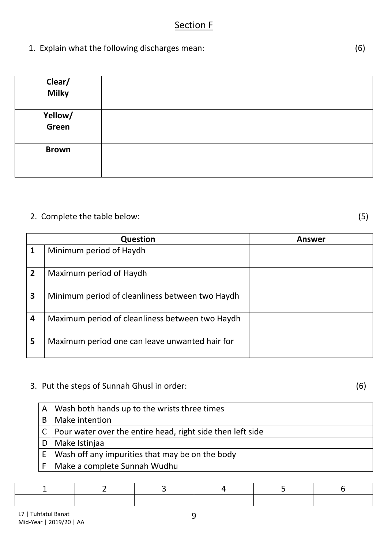#### Section F

1. Explain what the following discharges mean: (6)

| Clear/<br>Milky  |  |
|------------------|--|
| Yellow/<br>Green |  |
| <b>Brown</b>     |  |

#### 2. Complete the table below: (5)

|              | <b>Question</b>                                 | <b>Answer</b> |
|--------------|-------------------------------------------------|---------------|
| 1            | Minimum period of Haydh                         |               |
| $\mathbf{2}$ | Maximum period of Haydh                         |               |
| 3            | Minimum period of cleanliness between two Haydh |               |
| 4            | Maximum period of cleanliness between two Haydh |               |
| 5            | Maximum period one can leave unwanted hair for  |               |

## 3. Put the steps of Sunnah Ghusl in order: (6)

|   | $A$   Wash both hands up to the wrists three times             |
|---|----------------------------------------------------------------|
| B | Make intention                                                 |
|   | C   Pour water over the entire head, right side then left side |
| D | Make Istinjaa                                                  |
| E | Wash off any impurities that may be on the body                |
| F | Make a complete Sunnah Wudhu                                   |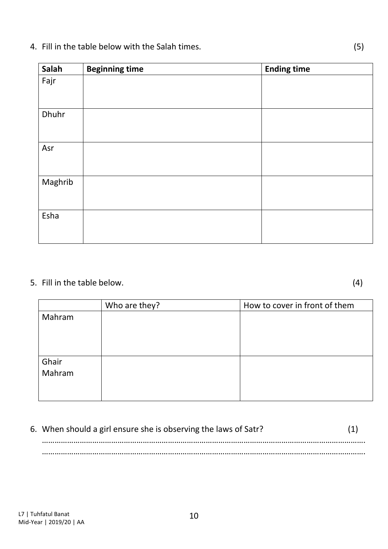### 4. Fill in the table below with the Salah times. (5)

| Salah   | <b>Beginning time</b> | <b>Ending time</b> |
|---------|-----------------------|--------------------|
| Fajr    |                       |                    |
|         |                       |                    |
| Dhuhr   |                       |                    |
|         |                       |                    |
| Asr     |                       |                    |
|         |                       |                    |
| Maghrib |                       |                    |
|         |                       |                    |
| Esha    |                       |                    |
|         |                       |                    |

## 5. Fill in the table below. (4)

|        | Who are they? | How to cover in front of them |
|--------|---------------|-------------------------------|
| Mahram |               |                               |
|        |               |                               |
|        |               |                               |
|        |               |                               |
| Ghair  |               |                               |
| Mahram |               |                               |
|        |               |                               |
|        |               |                               |

| 6. When should a girl ensure she is observing the laws of Satr? |  |
|-----------------------------------------------------------------|--|
|                                                                 |  |
|                                                                 |  |